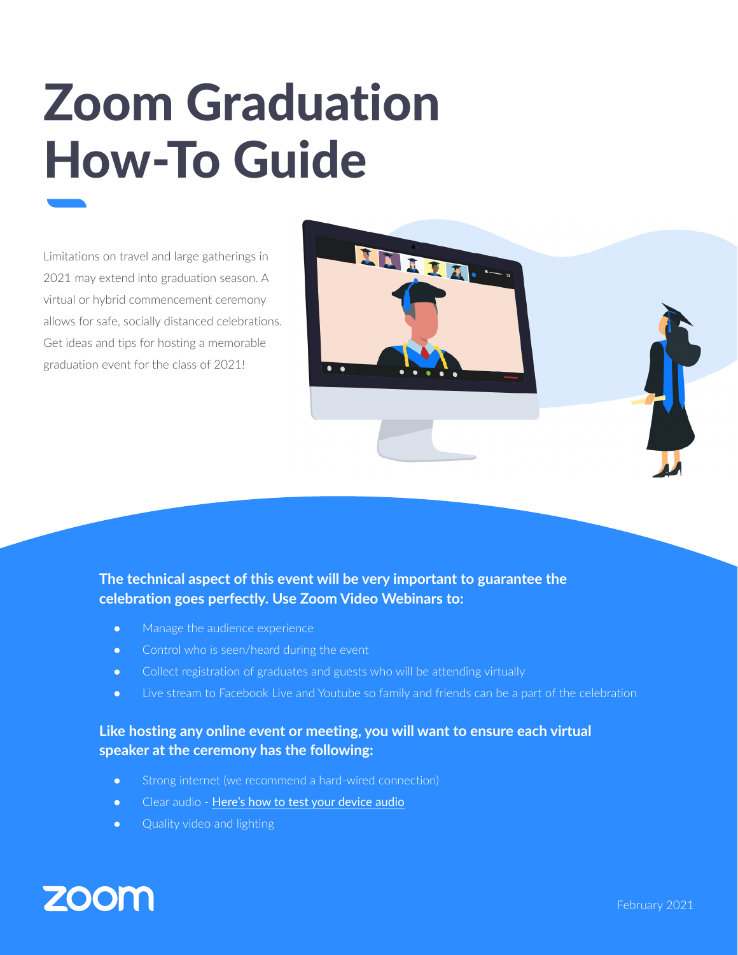## Zoom Graduation How-To Guide

Limitations on travel and large gatherings in 2021 may extend into graduation season. A virtual or hybrid commencement ceremony allows for safe, socially distanced celebrations. Get ideas and tips for hosting a memorable graduation event for the class of 2021!



- Manage the audience experience
- Control who is seen/heard during the event
- Collect registration of graduates and guests who will be attending virtually
- Live stream to Facebook Live and Youtube so family and friends can be a part of the celebration

LEELA

## **Like hosting any online event or meeting, you will want to ensure each virtual speaker at the ceremony has the following:**

- Strong internet (we recommend a hard-wired connection)
- Clear audio [Here's how to test your device audio](https://support.zoom.us/hc/en-us/articles/201362283-How-Do-I-Join-or-Test-My-Computer-Device-Audio-?zcid=1231)
- Quality video and lighting